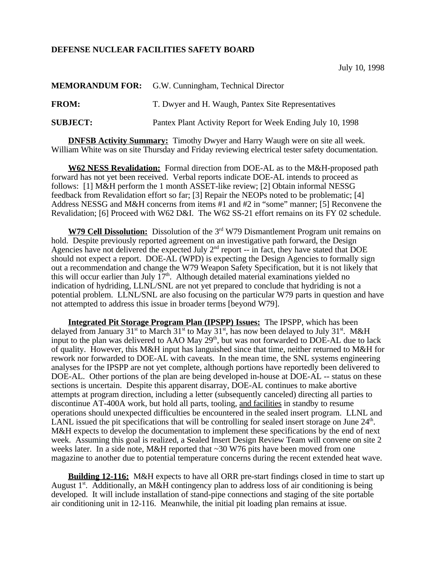## **DEFENSE NUCLEAR FACILITIES SAFETY BOARD**

|                 | <b>MEMORANDUM FOR:</b> G.W. Cunningham, Technical Director |
|-----------------|------------------------------------------------------------|
| <b>FROM:</b>    | T. Dwyer and H. Waugh, Pantex Site Representatives         |
| <b>SUBJECT:</b> | Pantex Plant Activity Report for Week Ending July 10, 1998 |

**DNFSB Activity Summary:** Timothy Dwyer and Harry Waugh were on site all week. William White was on site Thursday and Friday reviewing electrical tester safety documentation.

**W62 NESS Revalidation:** Formal direction from DOE-AL as to the M&H-proposed path forward has not yet been received. Verbal reports indicate DOE-AL intends to proceed as follows: [1] M&H perform the 1 month ASSET-like review; [2] Obtain informal NESSG feedback from Revalidation effort so far; [3] Repair the NEOPs noted to be problematic; [4] Address NESSG and M&H concerns from items #1 and #2 in "some" manner; [5] Reconvene the Revalidation; [6] Proceed with W62 D&I. The W62 SS-21 effort remains on its FY 02 schedule.

**W79 Cell Dissolution:** Dissolution of the 3<sup>rd</sup> W79 Dismantlement Program unit remains on hold. Despite previously reported agreement on an investigative path forward, the Design Agencies have not delivered the expected July  $2<sup>nd</sup>$  report -- in fact, they have stated that DOE should not expect a report. DOE-AL (WPD) is expecting the Design Agencies to formally sign out a recommendation and change the W79 Weapon Safety Specification, but it is not likely that this will occur earlier than July  $17<sup>th</sup>$ . Although detailed material examinations yielded no indication of hydriding, LLNL/SNL are not yet prepared to conclude that hydriding is not a potential problem. LLNL/SNL are also focusing on the particular W79 parts in question and have not attempted to address this issue in broader terms [beyond W79].

**Integrated Pit Storage Program Plan (IPSPP) Issues:** The IPSPP, which has been delayed from January 31<sup>st</sup> to March 31<sup>st</sup> to May 31<sup>st</sup>, has now been delayed to July 31<sup>st</sup>. M&H input to the plan was delivered to AAO May 29<sup>th</sup>, but was not forwarded to DOE-AL due to lack of quality. However, this M&H input has languished since that time, neither returned to M&H for rework nor forwarded to DOE-AL with caveats. In the mean time, the SNL systems engineering analyses for the IPSPP are not yet complete, although portions have reportedly been delivered to DOE-AL. Other portions of the plan are being developed in-house at DOE-AL -- status on these sections is uncertain. Despite this apparent disarray, DOE-AL continues to make abortive attempts at program direction, including a letter (subsequently canceled) directing all parties to discontinue AT-400A work, but hold all parts, tooling, and facilities in standby to resume operations should unexpected difficulties be encountered in the sealed insert program. LLNL and LANL issued the pit specifications that will be controlling for sealed insert storage on June  $24<sup>th</sup>$ . M&H expects to develop the documentation to implement these specifications by the end of next week. Assuming this goal is realized, a Sealed Insert Design Review Team will convene on site 2 weeks later. In a side note, M&H reported that ~30 W76 pits have been moved from one magazine to another due to potential temperature concerns during the recent extended heat wave.

**Building 12-116:** M&H expects to have all ORR pre-start findings closed in time to start up August  $1<sup>st</sup>$ . Additionally, an M&H contingency plan to address loss of air conditioning is being developed. It will include installation of stand-pipe connections and staging of the site portable air conditioning unit in 12-116. Meanwhile, the initial pit loading plan remains at issue.